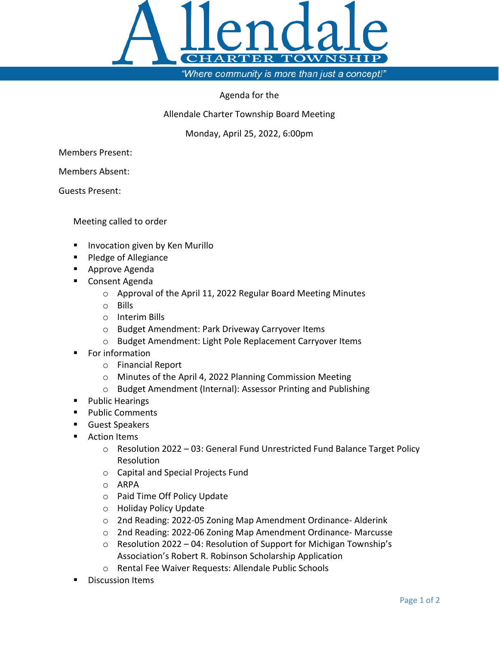

"Where community is more than just a concept!"

## Agenda for the

Allendale Charter Township Board Meeting

Monday, April 25, 2022, 6:00pm

Members Present:

Members Absent:

Guests Present:

Meeting called to order

- **IIII** Invocation given by Ken Murillo
- **Pledge of Allegiance**
- Approve Agenda
- Consent Agenda
	- o Approval of the April 11, 2022 Regular Board Meeting Minutes
	- o Bills
	- o Interim Bills
	- o Budget Amendment: Park Driveway Carryover Items
	- o Budget Amendment: Light Pole Replacement Carryover Items
- For information
	- o Financial Report
	- o Minutes of the April 4, 2022 Planning Commission Meeting
	- o Budget Amendment (Internal): Assessor Printing and Publishing
- **Public Hearings**
- **Public Comments**
- Guest Speakers
- **Action Items** 
	- $\circ$  Resolution 2022 03: General Fund Unrestricted Fund Balance Target Policy Resolution
	- o Capital and Special Projects Fund
	- o ARPA
	- o Paid Time Off Policy Update
	- o Holiday Policy Update
	- o 2nd Reading: 2022-05 Zoning Map Amendment Ordinance- Alderink
	- o 2nd Reading: 2022-06 Zoning Map Amendment Ordinance- Marcusse
	- o Resolution 2022 04: Resolution of Support for Michigan Township's Association's Robert R. Robinson Scholarship Application
	- o Rental Fee Waiver Requests: Allendale Public Schools
- Discussion Items